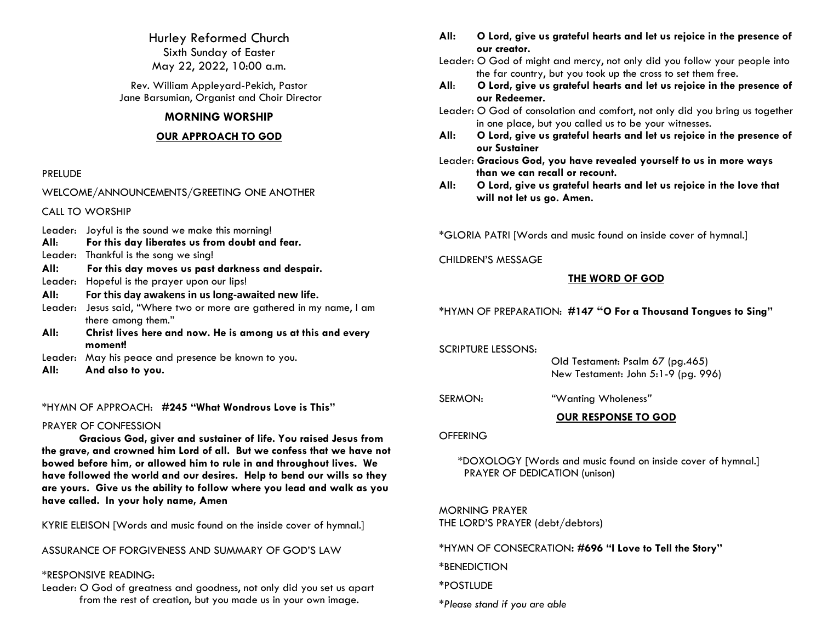Hurley Reformed Church Sixth Sunday of Easter May 22, 2022, 10:00 a.m.

Rev. William Appleyard-Pekich, Pastor Jane Barsumian, Organist and Choir Director

## **MORNING WORSHIP**

## **OUR APPROACH TO GOD**

## PRELUDE

WELCOME/ANNOUNCEMENTS/GREETING ONE ANOTHER

CALL TO WORSHIP

- Leader: Joyful is the sound we make this morning!
- **All**: **For this day liberates us from doubt and fear.**
- Leader:Thankful is the song we sing!
- **All: For this day moves us past darkness and despair.**
- Leader: Hopeful is the prayer upon our lips!
- **All: For this day awakens in us long-awaited new life.**
- Leader: Jesus said, "Where two or more are gathered in my name, I am there among them."
- **All: Christ lives here and now. He is among us at this and every moment!**
- Leader: May his peace and presence be known to you.
- **All: And also to you.**

\*HYMN OF APPROACH: **#245 "What Wondrous Love is This"**

## PRAYER OF CONFESSION

**Gracious God, giver and sustainer of life. You raised Jesus from the grave, and crowned him Lord of all. But we confess that we have not bowed before him, or allowed him to rule in and throughout lives. We have followed the world and our desires. Help to bend our wills so they are yours. Give us the ability to follow where you lead and walk as you have called. In your holy name, Amen**

KYRIE ELEISON [Words and music found on the inside cover of hymnal.]

ASSURANCE OF FORGIVENESS AND SUMMARY OF GOD'S LAW

## \*RESPONSIVE READING:

Leader: O God of greatness and goodness, not only did you set us apart from the rest of creation, but you made us in your own image.

- **All: O Lord, give us grateful hearts and let us rejoice in the presence of our creator.**
- Leader: O God of might and mercy, not only did you follow your people into the far country, but you took up the cross to set them free.
- **All**: **O Lord, give us grateful hearts and let us rejoice in the presence of our Redeemer.**
- Leader: O God of consolation and comfort, not only did you bring us together in one place, but you called us to be your witnesses.
- **All: O Lord, give us grateful hearts and let us rejoice in the presence of our Sustainer**
- Leader: **Gracious God, you have revealed yourself to us in more ways than we can recall or recount.**
- **All: O Lord, give us grateful hearts and let us rejoice in the love that will not let us go. Amen.**

\*GLORIA PATRI [Words and music found on inside cover of hymnal.]

## CHILDREN'S MESSAGE

## **THE WORD OF GOD**

\*HYMN OF PREPARATION: **#147 "O For a Thousand Tongues to Sing"**

SCRIPTURE LESSONS:

 Old Testament: Psalm 67 (pg.465) New Testament: John 5:1-9 (pg. 996)

SERMON: *"*Wanting Wholeness*"*

**OUR RESPONSE TO GOD**

## **OFFERING**

\*DOXOLOGY [Words and music found on inside cover of hymnal.] PRAYER OF DEDICATION (unison)

MORNING PRAYER THE LORD'S PRAYER (debt/debtors)

\*HYMN OF CONSECRATION**: #696 "I Love to Tell the Story"**

\*BENEDICTION

\*POSTLUDE

*\*Please stand if you are able*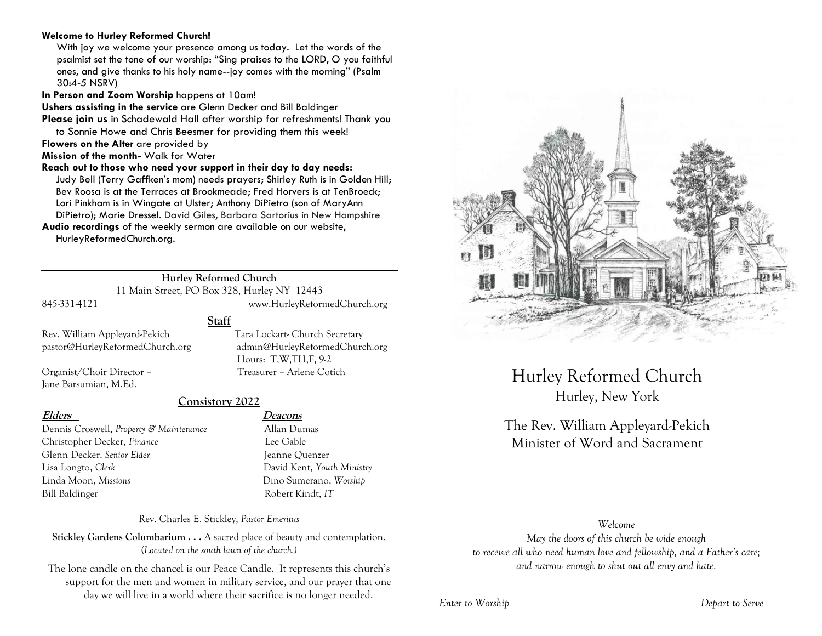## **Welcome to Hurley Reformed Church!**

With joy we welcome your presence among us today. Let the words of the psalmist set the tone of our worship: "Sing praises to the LORD, O you faithful ones, and give thanks to his holy name--joy comes with the morning" (Psalm 30:4-5 NSRV)

**In Person and Zoom Worship** happens at 10am!

**Ushers assisting in the service** are Glenn Decker and Bill Baldinger

**Please join us** in Schadewald Hall after worship for refreshments! Thank you to Sonnie Howe and Chris Beesmer for providing them this week!

**Flowers on the Alter** are provided by

**Mission of the month-** Walk for Water

### **Reach out to those who need your support in their day to day needs:**

Judy Bell (Terry Gaffken's mom) needs prayers; Shirley Ruth is in Golden Hill; Bev Roosa is at the Terraces at Brookmeade; Fred Horvers is at TenBroeck; Lori Pinkham is in Wingate at Ulster; Anthony DiPietro (son of MaryAnn DiPietro); Marie Dressel. David Giles, Barbara Sartorius in New Hampshire

**Audio recordings** of the weekly sermon are available on our website, HurleyReformedChurch.org.

## **Hurley Reformed Church**

11 Main Street, PO Box 328, Hurley NY 12443 845-331-4121 www.HurleyReformedChurch.org

Hours: T,W,TH,F, 9-2

**Staff**

Rev. William Appleyard-Pekich Tara Lockart- Church Secretary pastor@HurleyReformedChurch.org admin@HurleyReformedChurch.org

Organist/Choir Director – Treasurer – Arlene Cotich Jane Barsumian, M.Ed.

## **Consistory 2022**

Dennis Croswell, *Property & Maintenance* Allan Dumas Christopher Decker, *Finance* Lee Gable Glenn Decker, *Senior Elder* Jeanne Ouenzer Lisa Longto, *Clerk* David Kent, *Youth Ministry* Linda Moon, *Missions* Dino Sumerano, *Worship* Bill Baldinger Robert Kindt, *IT*

## **Elders Deacons**

Rev. Charles E. Stickley, *Pastor Emeritus*

**Stickley Gardens Columbarium . . .** A sacred place of beauty and contemplation. (*Located on the south lawn of the church.)* 

The lone candle on the chancel is our Peace Candle. It represents this church's support for the men and women in military service, and our prayer that one day we will live in a world where their sacrifice is no longer needed.



Hurley Reformed Church Hurley, New York

## The Rev. William Appleyard-Pekich Minister of Word and Sacrament

## *Welcome*

*May the doors of this church be wide enough to receive all who need human love and fellowship, and a Father's care; and narrow enough to shut out all envy and hate.*

## *Enter to Worship Depart to Serve*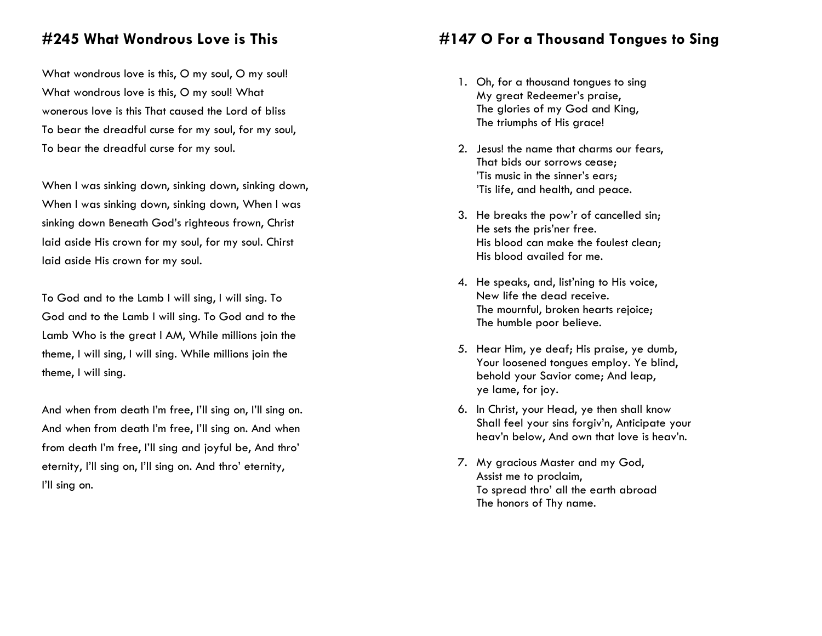## **#245 What Wondrous Love is This**

What wondrous love is this, O my soul, O my soul! What wondrous love is this, O my soul! What wonerous love is this That caused the Lord of bliss To bear the dreadful curse for my soul, for my soul, To bear the dreadful curse for my soul.

When I was sinking down, sinking down, sinking down, When I was sinking down, sinking down, When I was sinking down Beneath God's righteous frown, Christ laid aside His crown for my soul, for my soul. Chirst laid aside His crown for my soul.

To God and to the Lamb I will sing, I will sing. To God and to the Lamb I will sing. To God and to the Lamb Who is the great I AM, While millions join the theme, I will sing, I will sing. While millions join the theme, I will sing.

And when from death I'm free, I'll sing on, I'll sing on. And when from death I'm free, I'll sing on. And when from death I'm free, I'll sing and joyful be, And thro' eternity, I'll sing on, I'll sing on. And thro' eternity, I'll sing on.

# **#147 O For a Thousand Tongues to Sing**

- 1. Oh, for a thousand tongues to sing My great Redeemer's praise, The glories of my God and King, The triumphs of His grace!
- 2. Jesus! the name that charms our fears, That bids our sorrows cease; 'Tis music in the sinner's ears; 'Tis life, and health, and peace.
- 3. He breaks the pow'r of cancelled sin; He sets the pris'ner free. His blood can make the foulest clean; His blood availed for me.
- 4. He speaks, and, list'ning to His voice, New life the dead receive. The mournful, broken hearts rejoice; The humble poor believe.
- 5. Hear Him, ye deaf; His praise, ye dumb, Your loosened tongues employ. Ye blind, behold your Savior come; And leap, ye lame, for joy.
- 6. In Christ, your Head, ye then shall know Shall feel your sins forgiv'n, Anticipate your heav'n below, And own that love is heav'n.
- 7. My gracious Master and my God, Assist me to proclaim, To spread thro' all the earth abroad The honors of Thy name.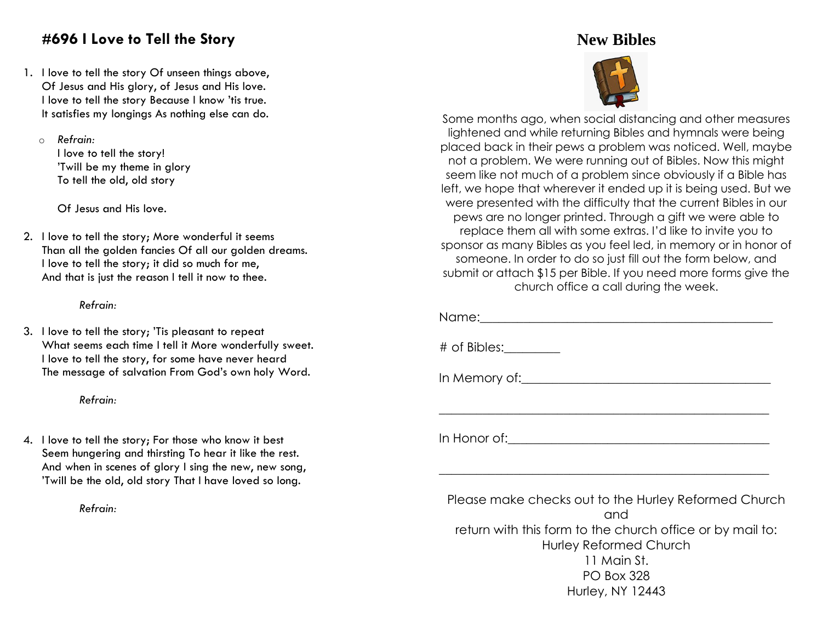# **#696 I Love to Tell the Story**

1. I love to tell the story Of unseen things above, Of Jesus and His glory, of Jesus and His love. I love to tell the story Because I know 'tis true. It satisfies my longings As nothing else can do.

o *Refrain:*

I love to tell the story! 'Twill be my theme in glory To tell the old, old story

Of Jesus and His love.

2. I love to tell the story; More wonderful it seems Than all the golden fancies Of all our golden dreams. I love to tell the story; it did so much for me, And that is just the reason I tell it now to thee.

## *Refrain:*

3. I love to tell the story; 'Tis pleasant to repeat What seems each time I tell it More wonderfully sweet. I love to tell the story, for some have never heard The message of salvation From God's own holy Word.

## *Refrain:*

4. I love to tell the story; For those who know it best Seem hungering and thirsting To hear it like the rest. And when in scenes of glory I sing the new, new song, 'Twill be the old, old story That I have loved so long.

*Refrain:*

# **New Bibles**



Some months ago, when social distancing and other measures lightened and while returning Bibles and hymnals were being placed back in their pews a problem was noticed. Well, maybe not a problem. We were running out of Bibles. Now this might seem like not much of a problem since obviously if a Bible has left, we hope that wherever it ended up it is being used. But we were presented with the difficulty that the current Bibles in our pews are no longer printed. Through a gift we were able to replace them all with some extras. I'd like to invite you to sponsor as many Bibles as you feel led, in memory or in honor of someone. In order to do so just fill out the form below, and submit or attach \$15 per Bible. If you need more forms give the church office a call during the week.

Name: where  $\frac{1}{2}$ 

# of Bibles:\_\_\_\_\_\_\_\_\_

In Memory of:

In Honor of:

Please make checks out to the Hurley Reformed Church and return with this form to the church office or by mail to: Hurley Reformed Church 11 Main St. PO Box 328 Hurley, NY 12443

\_\_\_\_\_\_\_\_\_\_\_\_\_\_\_\_\_\_\_\_\_\_\_\_\_\_\_\_\_\_\_\_\_\_\_\_\_\_\_\_\_\_\_\_\_\_\_\_\_\_\_\_\_

\_\_\_\_\_\_\_\_\_\_\_\_\_\_\_\_\_\_\_\_\_\_\_\_\_\_\_\_\_\_\_\_\_\_\_\_\_\_\_\_\_\_\_\_\_\_\_\_\_\_\_\_\_